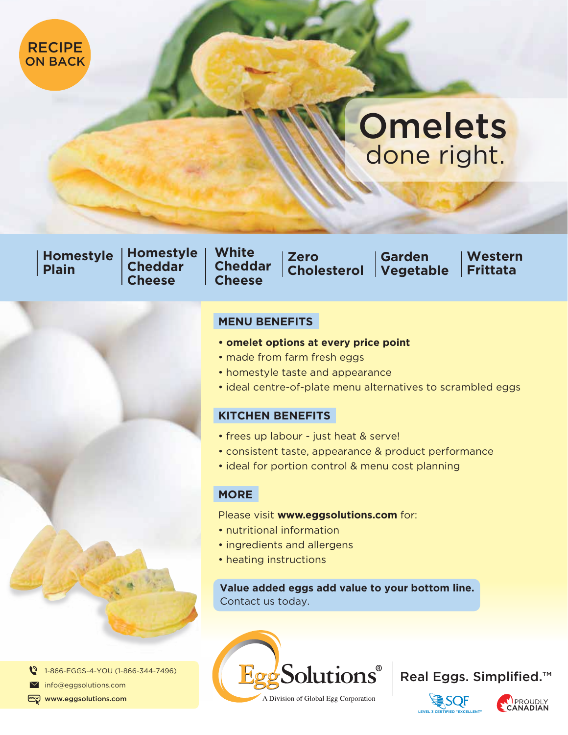

# **Omelets** done right.

**Homestyle Plain**

**Homestyle Cheddar Cheese**

**White Cheddar Cheese**

**Zero Cholesterol**

**Garden Vegetable** 

**Western Frittata**

### **MENU BENEFITS**

- **omelet options at every price point**
- made from farm fresh eggs
- homestyle taste and appearance
- ideal centre-of-plate menu alternatives to scrambled eggs

### **KITCHEN BENEFITS**

- frees up labour just heat & serve!
- consistent taste, appearance & product performance
- ideal for portion control & menu cost planning

### **MORE**

#### Please visit **www.eggsolutions.com** for:

- nutritional information
- ingredients and allergens
- heating instructions

### **Value added eggs add value to your bottom line.** Contact us today.









 $\boldsymbol{c}$ 1-866-EGGS-4-YOU (1-866-344-7496)

 $\boxtimes$ info@eggsolutions.com

www.eggsolutions.com